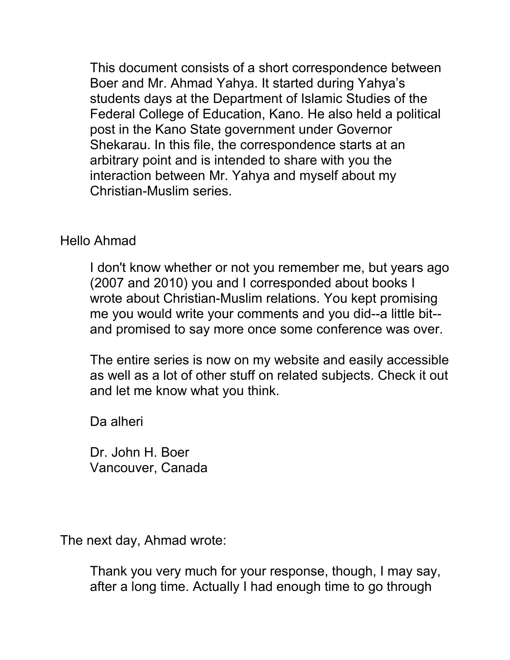This document consists of a short correspondence between Boer and Mr. Ahmad Yahya. It started during Yahya's students days at the Department of Islamic Studies of the Federal College of Education, Kano. He also held a political post in the Kano State government under Governor Shekarau. In this file, the correspondence starts at an arbitrary point and is intended to share with you the interaction between Mr. Yahya and myself about my Christian-Muslim series.

## Hello Ahmad

I don't know whether or not you remember me, but years ago (2007 and 2010) you and I corresponded about books I wrote about Christian-Muslim relations. You kept promising me you would write your comments and you did--a little bit- and promised to say more once some conference was over.

The entire series is now on my website and easily accessible as well as a lot of other stuff on related subjects. Check it out and let me know what you think.

Da alheri

Dr. John H. Boer Vancouver, Canada

The next day, Ahmad wrote:

Thank you very much for your response, though, I may say, after a long time. Actually I had enough time to go through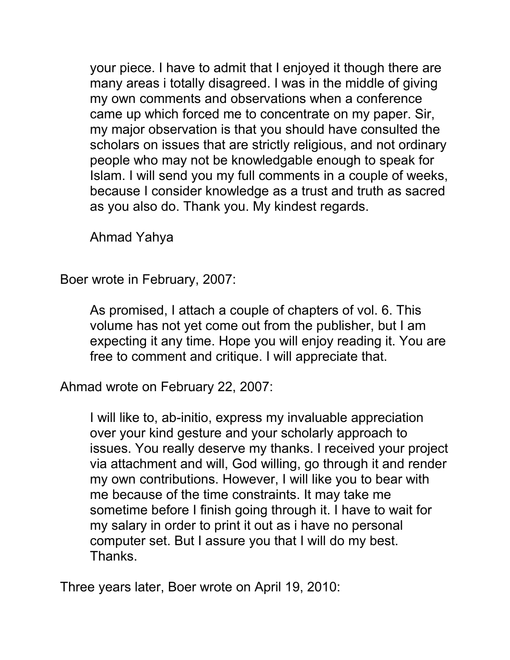your piece. I have to admit that I enjoyed it though there are many areas i totally disagreed. I was in the middle of giving my own comments and observations when a conference came up which forced me to concentrate on my paper. Sir, my major observation is that you should have consulted the scholars on issues that are strictly religious, and not ordinary people who may not be knowledgable enough to speak for Islam. I will send you my full comments in a couple of weeks, because I consider knowledge as a trust and truth as sacred as you also do. Thank you. My kindest regards.

Ahmad Yahya

Boer wrote in February, 2007:

As promised, I attach a couple of chapters of vol. 6. This volume has not yet come out from the publisher, but I am expecting it any time. Hope you will enjoy reading it. You are free to comment and critique. I will appreciate that.

Ahmad wrote on February 22, 2007:

I will like to, ab-initio, express my invaluable appreciation over your kind gesture and your scholarly approach to issues. You really deserve my thanks. I received your project via attachment and will, God willing, go through it and render my own contributions. However, I will like you to bear with me because of the time constraints. It may take me sometime before I finish going through it. I have to wait for my salary in order to print it out as i have no personal computer set. But I assure you that I will do my best. Thanks.

Three years later, Boer wrote on April 19, 2010: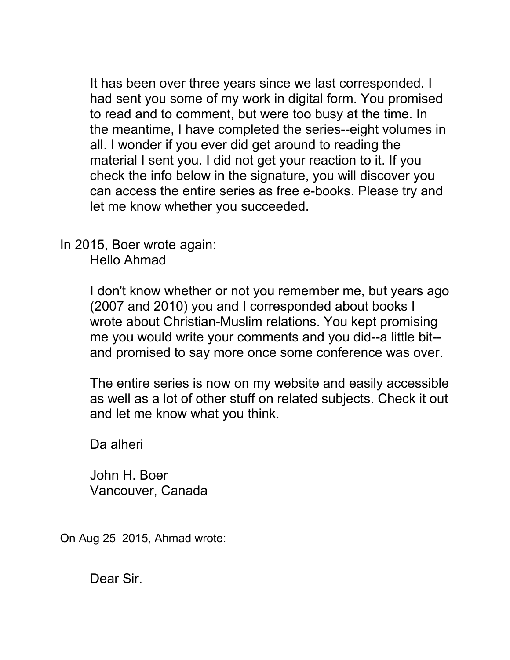It has been over three years since we last corresponded. I had sent you some of my work in digital form. You promised to read and to comment, but were too busy at the time. In the meantime, I have completed the series--eight volumes in all. I wonder if you ever did get around to reading the material I sent you. I did not get your reaction to it. If you check the info below in the signature, you will discover you can access the entire series as free e-books. Please try and let me know whether you succeeded.

In 2015, Boer wrote again: Hello Ahmad

> I don't know whether or not you remember me, but years ago (2007 and 2010) you and I corresponded about books I wrote about Christian-Muslim relations. You kept promising me you would write your comments and you did--a little bit- and promised to say more once some conference was over.

> The entire series is now on my website and easily accessible as well as a lot of other stuff on related subjects. Check it out and let me know what you think.

Da alheri

John H. Boer Vancouver, Canada

On Aug 25 2015, Ahmad wrote:

Dear Sir.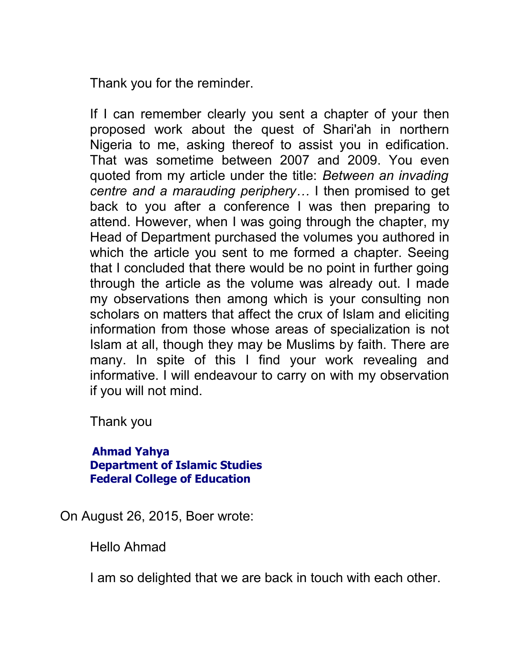Thank you for the reminder.

If I can remember clearly you sent a chapter of your then proposed work about the quest of Shari'ah in northern Nigeria to me, asking thereof to assist you in edification. That was sometime between 2007 and 2009. You even quoted from my article under the title: *Between an invading centre and a marauding periphery…* I then promised to get back to you after a conference I was then preparing to attend. However, when I was going through the chapter, my Head of Department purchased the volumes you authored in which the article you sent to me formed a chapter. Seeing that I concluded that there would be no point in further going through the article as the volume was already out. I made my observations then among which is your consulting non scholars on matters that affect the crux of Islam and eliciting information from those whose areas of specialization is not Islam at all, though they may be Muslims by faith. There are many. In spite of this I find your work revealing and informative. I will endeavour to carry on with my observation if you will not mind.

Thank you

**Ahmad Yahya Department of Islamic Studies Federal College of Education**

On August 26, 2015, Boer wrote:

Hello Ahmad

I am so delighted that we are back in touch with each other.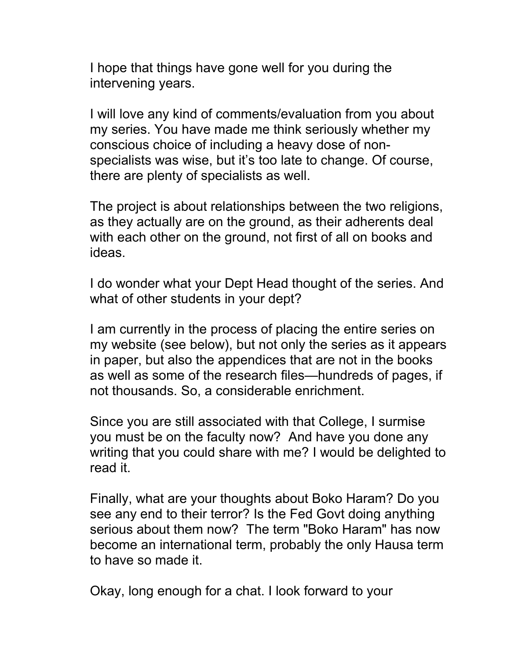I hope that things have gone well for you during the intervening years.

I will love any kind of comments/evaluation from you about my series. You have made me think seriously whether my conscious choice of including a heavy dose of nonspecialists was wise, but it's too late to change. Of course, there are plenty of specialists as well.

The project is about relationships between the two religions, as they actually are on the ground, as their adherents deal with each other on the ground, not first of all on books and ideas.

I do wonder what your Dept Head thought of the series. And what of other students in your dept?

I am currently in the process of placing the entire series on my website (see below), but not only the series as it appears in paper, but also the appendices that are not in the books as well as some of the research files—hundreds of pages, if not thousands. So, a considerable enrichment.

Since you are still associated with that College, I surmise you must be on the faculty now? And have you done any writing that you could share with me? I would be delighted to read it.

Finally, what are your thoughts about Boko Haram? Do you see any end to their terror? Is the Fed Govt doing anything serious about them now? The term "Boko Haram" has now become an international term, probably the only Hausa term to have so made it.

Okay, long enough for a chat. I look forward to your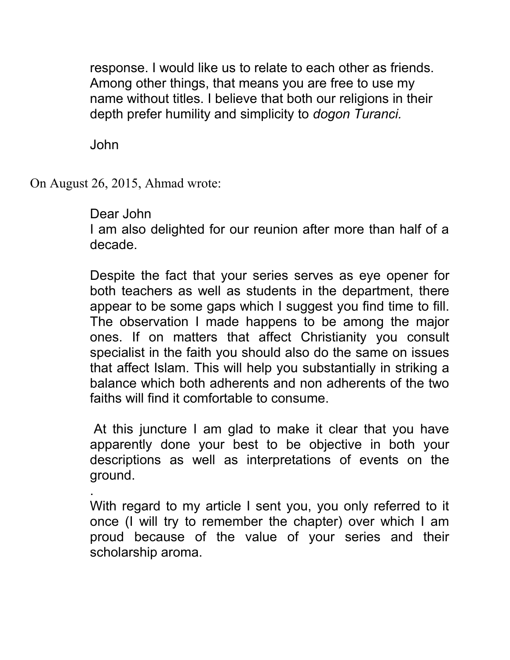response. I would like us to relate to each other as friends. Among other things, that means you are free to use my name without titles. I believe that both our religions in their depth prefer humility and simplicity to *dogon Turanci.*

John

.

On August 26, 2015, Ahmad wrote:

## Dear John

I am also delighted for our reunion after more than half of a decade.

Despite the fact that your series serves as eye opener for both teachers as well as students in the department, there appear to be some gaps which I suggest you find time to fill. The observation I made happens to be among the major ones. If on matters that affect Christianity you consult specialist in the faith you should also do the same on issues that affect Islam. This will help you substantially in striking a balance which both adherents and non adherents of the two faiths will find it comfortable to consume.

At this juncture I am glad to make it clear that you have apparently done your best to be objective in both your descriptions as well as interpretations of events on the ground.

With regard to my article I sent you, you only referred to it once (I will try to remember the chapter) over which I am proud because of the value of your series and their scholarship aroma.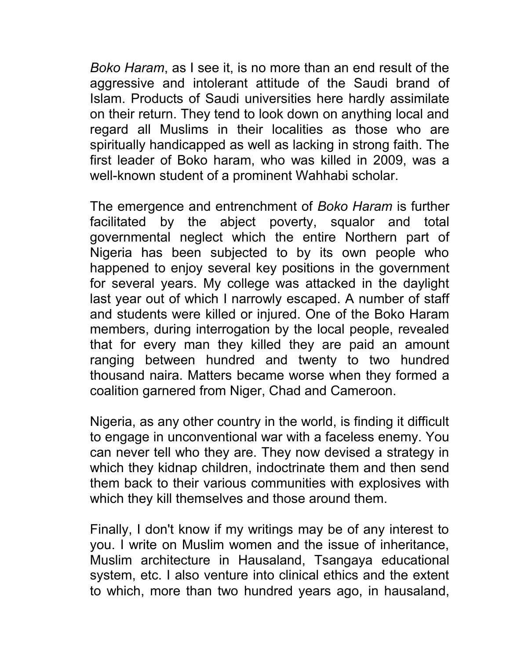*Boko Haram*, as I see it, is no more than an end result of the aggressive and intolerant attitude of the Saudi brand of Islam. Products of Saudi universities here hardly assimilate on their return. They tend to look down on anything local and regard all Muslims in their localities as those who are spiritually handicapped as well as lacking in strong faith. The first leader of Boko haram, who was killed in 2009, was a well-known student of a prominent Wahhabi scholar.

The emergence and entrenchment of *Boko Haram* is further facilitated by the abject poverty, squalor and total governmental neglect which the entire Northern part of Nigeria has been subjected to by its own people who happened to enjoy several key positions in the government for several years. My college was attacked in the daylight last year out of which I narrowly escaped. A number of staff and students were killed or injured. One of the Boko Haram members, during interrogation by the local people, revealed that for every man they killed they are paid an amount ranging between hundred and twenty to two hundred thousand naira. Matters became worse when they formed a coalition garnered from Niger, Chad and Cameroon.

Nigeria, as any other country in the world, is finding it difficult to engage in unconventional war with a faceless enemy. You can never tell who they are. They now devised a strategy in which they kidnap children, indoctrinate them and then send them back to their various communities with explosives with which they kill themselves and those around them.

Finally, I don't know if my writings may be of any interest to you. I write on Muslim women and the issue of inheritance, Muslim architecture in Hausaland, Tsangaya educational system, etc. I also venture into clinical ethics and the extent to which, more than two hundred years ago, in hausaland,